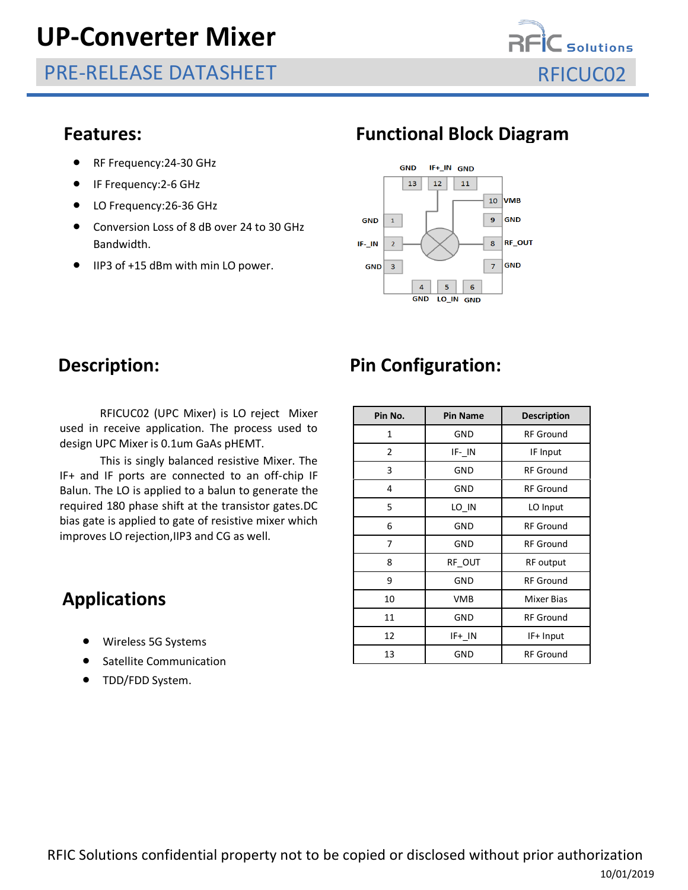# **UP-Converter Mixer**

PRE-RELEASE DATASHEET RELOCO2



- RF Frequency: 24-30 GHz
- IF Frequency:2-6 GHz
- LO Frequency: 26-36 GHz
- Conversion Loss of 8 dB over 24 to 30 GHz Bandwidth.
- IIP3 of +15 dBm with min LO power.

### **Features: Functional Block Diagram**



RFICUC02 (UPC Mixer) is LO reject Mixer used in receive application. The process used to design UPC Mixer is 0.1um GaAs pHEMT.

This is singly balanced resistive Mixer. The IF+ and IF ports are connected to an off-chip IF Balun. The LO is applied to a balun to generate the required 180 phase shift at the transistor gates.DC bias gate is applied to gate of resistive mixer which improves LO rejection,IIP3 and CG as well.

## **Applications**

- Wireless 5G Systems
- Satellite Communication
- TDD/FDD System.

## **Description:** Pin Configuration:

| Pin No. | <b>Pin Name</b> | <b>Description</b> |  |  |
|---------|-----------------|--------------------|--|--|
| 1       | <b>GND</b>      | <b>RF Ground</b>   |  |  |
| 2       | IF-IN           | IF Input           |  |  |
| 3       | GND             | <b>RF Ground</b>   |  |  |
| 4       | GND             | <b>RF</b> Ground   |  |  |
| 5       | LO IN           | LO Input           |  |  |
| 6       | <b>GND</b>      | <b>RF</b> Ground   |  |  |
| 7       | <b>GND</b>      | <b>RF Ground</b>   |  |  |
| 8       | RF OUT          | RF output          |  |  |
| 9       | <b>GND</b>      | <b>RF Ground</b>   |  |  |
| 10      | <b>VMB</b>      | <b>Mixer Bias</b>  |  |  |
| 11      | GND             | <b>RF</b> Ground   |  |  |
| 12      | IF+ IN          | IF+ Input          |  |  |
| 13      | GND             | <b>RF Ground</b>   |  |  |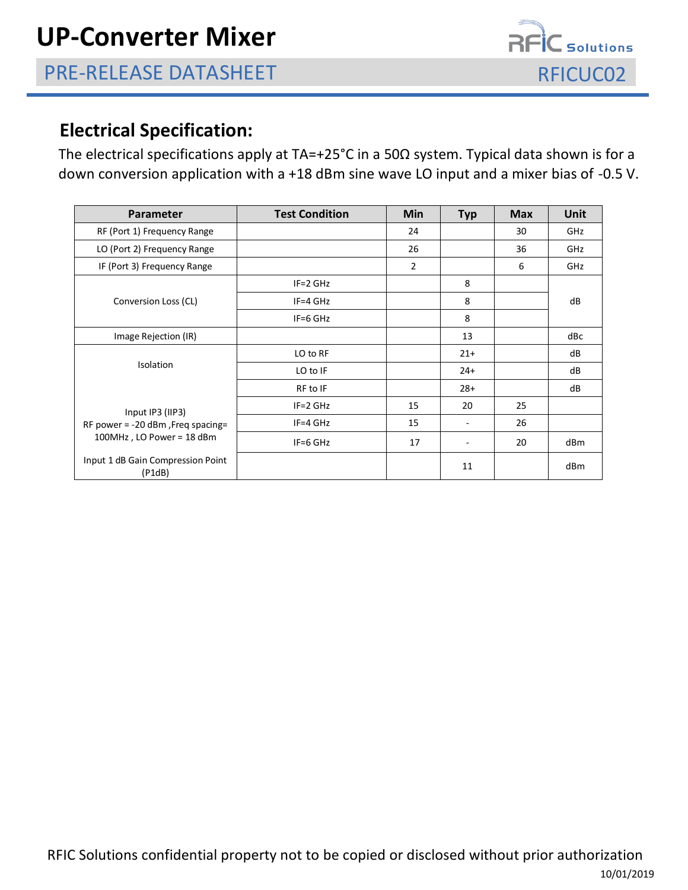

### **Electrical Specification:**

The electrical specifications apply at TA=+25°C in a 50Ω system. Typical data shown is for a down conversion application with a +18 dBm sine wave LO input and a mixer bias of -0.5 V.

| Parameter                                                                          | <b>Test Condition</b> | Min            | <b>Typ</b> | <b>Max</b> | Unit |
|------------------------------------------------------------------------------------|-----------------------|----------------|------------|------------|------|
| RF (Port 1) Frequency Range                                                        |                       | 24             |            | 30         | GHz  |
| LO (Port 2) Frequency Range                                                        |                       | 26             |            | 36         | GHz  |
| IF (Port 3) Frequency Range                                                        |                       | $\overline{2}$ |            | 6          | GHz  |
| Conversion Loss (CL)                                                               | $IF = 2 GHz$          |                | 8          |            | dB   |
|                                                                                    | $IF = 4 GHz$          |                | 8          |            |      |
|                                                                                    | $IF=6$ GHz            |                | 8          |            |      |
| Image Rejection (IR)                                                               |                       |                | 13         |            | dBc  |
| Isolation                                                                          | LO to RF              |                | $21+$      |            | dB   |
|                                                                                    | LO to IF              |                | $24+$      |            | dB   |
|                                                                                    | RF to IF              |                | $28+$      |            | dB   |
| Input IP3 (IIP3)<br>RF power = -20 dBm, Freq spacing=<br>100MHz, LO Power = 18 dBm | $IF = 2 GHz$          | 15             | 20         | 25         |      |
|                                                                                    | $IF = 4 GHz$          | 15             |            | 26         |      |
|                                                                                    | IF=6 GHz              | 17             |            | 20         | dBm  |
| Input 1 dB Gain Compression Point<br>(P1dB)                                        |                       |                | 11         |            | dBm  |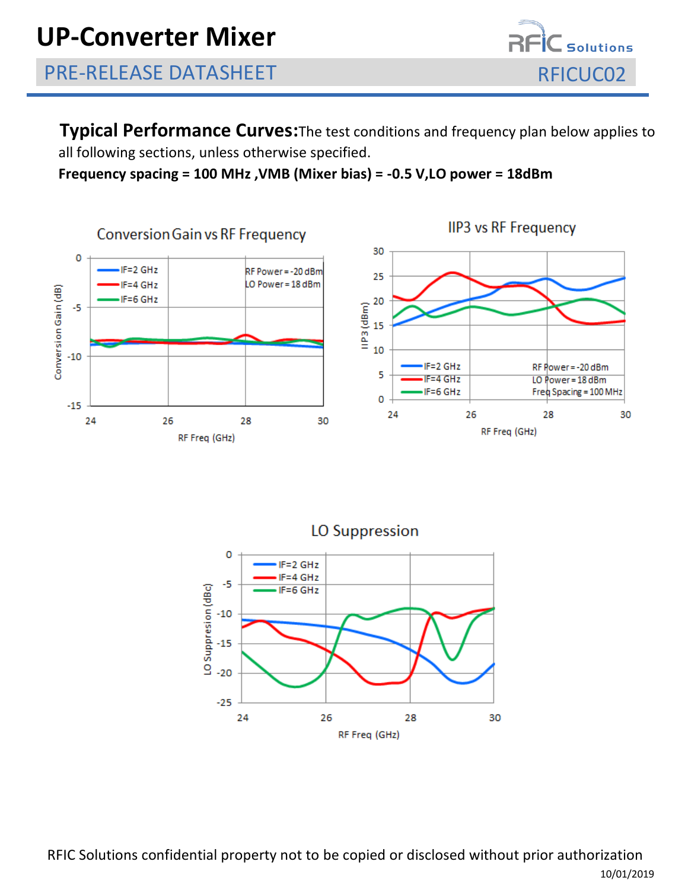

**Typical Performance Curves:**The test conditions and frequency plan below applies to all following sections, unless otherwise specified.

**Frequency spacing = 100 MHz ,VMB (Mixer bias) = -0.5 V,LO power = 18dBm**



**IIP3 vs RF Frequency** 



RFIC Solutions confidential property not to be copied or disclosed without prior authorization 10/01/2019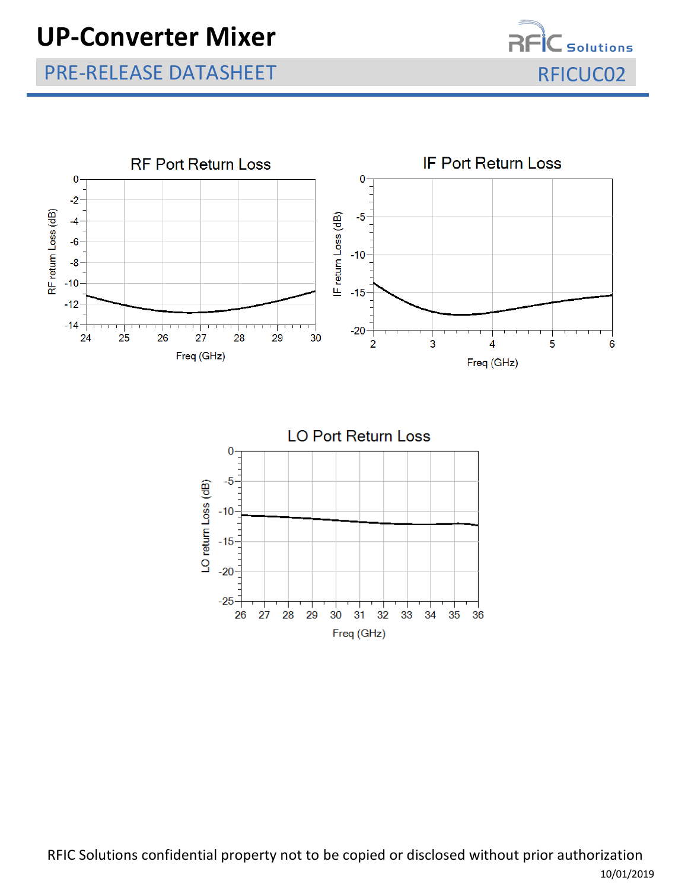# **UP-Converter Mixer**

—<br>— Solutions

## PRE-RELEASE DATASHEET REICUC02